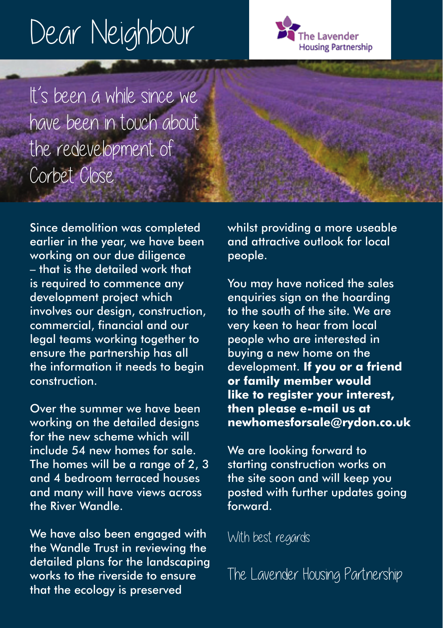## Dear Neighbour



It's been a while since we have been in touch about the redevelopment of Corbet Close.

Since demolition was completed earlier in the year, we have been working on our due diligence – that is the detailed work that is required to commence any development project which involves our design, construction, commercial, financial and our legal teams working together to ensure the partnership has all the information it needs to begin construction.

Over the summer we have been working on the detailed designs for the new scheme which will include 54 new homes for sale. The homes will be a range of 2, 3 and 4 bedroom terraced houses and many will have views across the River Wandle.

We have also been engaged with the Wandle Trust in reviewing the detailed plans for the landscaping works to the riverside to ensure that the ecology is preserved

whilst providing a more useable and attractive outlook for local people.

You may have noticed the sales enquiries sign on the hoarding to the south of the site. We are very keen to hear from local people who are interested in buying a new home on the development. **If you or a friend or family member would like to register your interest, then please e-mail us at newhomesforsale@rydon.co.uk** 

We are looking forward to starting construction works on the site soon and will keep you posted with further updates going forward.

With best regards

The Lavender Housing Partnership